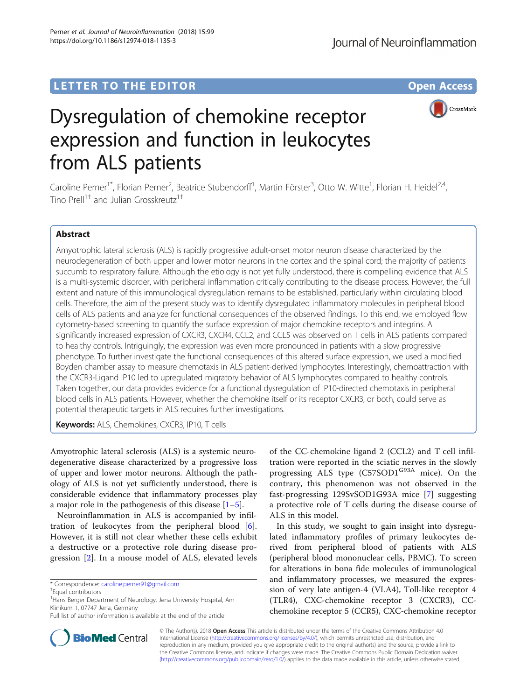# LETTER TO THE EDITOR **CONSIDERING A CONSIDERATION**



# Dysregulation of chemokine receptor expression and function in leukocytes from ALS patients

Caroline Perner<sup>1\*</sup>, Florian Perner<sup>2</sup>, Beatrice Stubendorff<sup>1</sup>, Martin Förster<sup>3</sup>, Otto W. Witte<sup>1</sup>, Florian H. Heidel<sup>2,4</sup>, Tino Prell<sup>1†</sup> and Julian Grosskreutz<sup>1†</sup>

## Abstract

Amyotrophic lateral sclerosis (ALS) is rapidly progressive adult-onset motor neuron disease characterized by the neurodegeneration of both upper and lower motor neurons in the cortex and the spinal cord; the majority of patients succumb to respiratory failure. Although the etiology is not yet fully understood, there is compelling evidence that ALS is a multi-systemic disorder, with peripheral inflammation critically contributing to the disease process. However, the full extent and nature of this immunological dysregulation remains to be established, particularly within circulating blood cells. Therefore, the aim of the present study was to identify dysregulated inflammatory molecules in peripheral blood cells of ALS patients and analyze for functional consequences of the observed findings. To this end, we employed flow cytometry-based screening to quantify the surface expression of major chemokine receptors and integrins. A significantly increased expression of CXCR3, CXCR4, CCL2, and CCL5 was observed on T cells in ALS patients compared to healthy controls. Intriguingly, the expression was even more pronounced in patients with a slow progressive phenotype. To further investigate the functional consequences of this altered surface expression, we used a modified Boyden chamber assay to measure chemotaxis in ALS patient-derived lymphocytes. Interestingly, chemoattraction with the CXCR3-Ligand IP10 led to upregulated migratory behavior of ALS lymphocytes compared to healthy controls. Taken together, our data provides evidence for a functional dysregulation of IP10-directed chemotaxis in peripheral blood cells in ALS patients. However, whether the chemokine itself or its receptor CXCR3, or both, could serve as potential therapeutic targets in ALS requires further investigations.

Keywords: ALS, Chemokines, CXCR3, IP10, T cells

Amyotrophic lateral sclerosis (ALS) is a systemic neurodegenerative disease characterized by a progressive loss of upper and lower motor neurons. Although the pathology of ALS is not yet sufficiently understood, there is considerable evidence that inflammatory processes play a major role in the pathogenesis of this disease  $[1-5]$  $[1-5]$  $[1-5]$  $[1-5]$ .

Neuroinflammation in ALS is accompanied by infiltration of leukocytes from the peripheral blood [\[6](#page-3-0)]. However, it is still not clear whether these cells exhibit a destructive or a protective role during disease progression [[2\]](#page-3-0). In a mouse model of ALS, elevated levels

of the CC-chemokine ligand 2 (CCL2) and T cell infiltration were reported in the sciatic nerves in the slowly progressing ALS type (C57SOD1<sup>G93A</sup> mice). On the contrary, this phenomenon was not observed in the fast-progressing 129SvSOD1G93A mice [\[7](#page-3-0)] suggesting a protective role of T cells during the disease course of ALS in this model.

In this study, we sought to gain insight into dysregulated inflammatory profiles of primary leukocytes derived from peripheral blood of patients with ALS (peripheral blood mononuclear cells, PBMC). To screen for alterations in bona fide molecules of immunological and inflammatory processes, we measured the expression of very late antigen-4 (VLA4), Toll-like receptor 4 (TLR4), CXC-chemokine receptor 3 (CXCR3), CCchemokine receptor 5 (CCR5), CXC-chemokine receptor



© The Author(s). 2018 Open Access This article is distributed under the terms of the Creative Commons Attribution 4.0 International License [\(http://creativecommons.org/licenses/by/4.0/](http://creativecommons.org/licenses/by/4.0/)), which permits unrestricted use, distribution, and reproduction in any medium, provided you give appropriate credit to the original author(s) and the source, provide a link to the Creative Commons license, and indicate if changes were made. The Creative Commons Public Domain Dedication waiver [\(http://creativecommons.org/publicdomain/zero/1.0/](http://creativecommons.org/publicdomain/zero/1.0/)) applies to the data made available in this article, unless otherwise stated.

<sup>\*</sup> Correspondence: [caroline.perner91@gmail.com](mailto:caroline.perner91@gmail.com) †

Equal contributors

<sup>&</sup>lt;sup>1</sup> Hans Berger Department of Neurology, Jena University Hospital, Am Klinikum 1, 07747 Jena, Germany

Full list of author information is available at the end of the article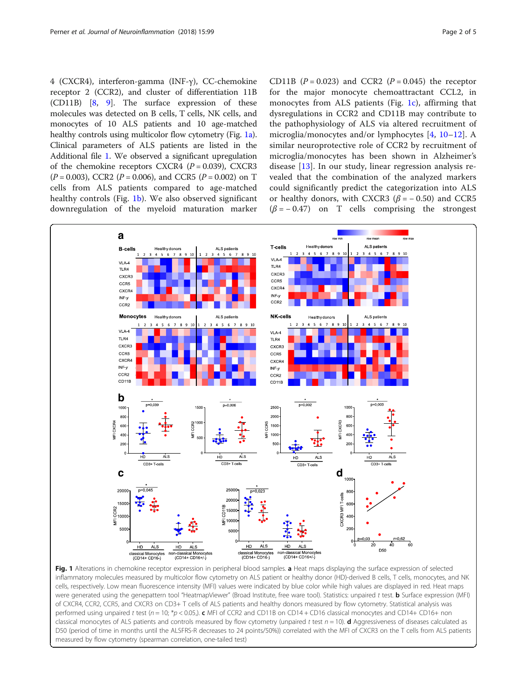<span id="page-1-0"></span>4 (CXCR4), interferon-gamma (INF-γ), CC-chemokine receptor 2 (CCR2), and cluster of differentiation 11B (CD11B) [\[8](#page-3-0), [9\]](#page-3-0). The surface expression of these molecules was detected on B cells, T cells, NK cells, and monocytes of 10 ALS patients and 10 age-matched healthy controls using multicolor flow cytometry (Fig. 1a). Clinical parameters of ALS patients are listed in the Additional file [1](#page-3-0). We observed a significant upregulation of the chemokine receptors CXCR4 ( $P = 0.039$ ), CXCR3  $(P = 0.003)$ , CCR2  $(P = 0.006)$ , and CCR5  $(P = 0.002)$  on T cells from ALS patients compared to age-matched healthy controls (Fig. 1b). We also observed significant downregulation of the myeloid maturation marker

CD11B  $(P = 0.023)$  and CCR2  $(P = 0.045)$  the receptor for the major monocyte chemoattractant CCL2, in monocytes from ALS patients (Fig. 1c), affirming that dysregulations in CCR2 and CD11B may contribute to the pathophysiology of ALS via altered recruitment of microglia/monocytes and/or lymphocytes [[4,](#page-3-0) [10](#page-3-0)–[12\]](#page-3-0). A similar neuroprotective role of CCR2 by recruitment of microglia/monocytes has been shown in Alzheimer's disease [[13\]](#page-3-0). In our study, linear regression analysis revealed that the combination of the analyzed markers could significantly predict the categorization into ALS or healthy donors, with CXCR3 ( $\beta$  = -0.50) and CCR5  $(\beta = -0.47)$  on T cells comprising the strongest



Fig. 1 Alterations in chemokine receptor expression in peripheral blood samples. a Heat maps displaying the surface expression of selected inflammatory molecules measured by multicolor flow cytometry on ALS patient or healthy donor (HD)-derived B cells, T cells, monocytes, and NK cells, respectively. Low mean fluorescence intensity (MFI) values were indicated by blue color while high values are displayed in red. Heat maps were generated using the genepattern tool "HeatmapViewer" (Broad Institute, free ware tool). Statistics: unpaired t test. **b** Surface expression (MFI) of CXCR4, CCR2, CCR5, and CXCR3 on CD3+ T cells of ALS patients and healthy donors measured by flow cytometry. Statistical analysis was performed using unpaired t test (n = 10; \*p < 0.05). c MFI of CCR2 and CD11B on CD14 + CD16 classical monocytes and CD14+ CD16+ non classical monocytes of ALS patients and controls measured by flow cytometry (unpaired t test  $n = 10$ ). **d** Aggressiveness of diseases calculated as D50 (period of time in months until the ALSFRS-R decreases to 24 points/50%)) correlated with the MFI of CXCR3 on the T cells from ALS patients measured by flow cytometry (spearman correlation, one-tailed test)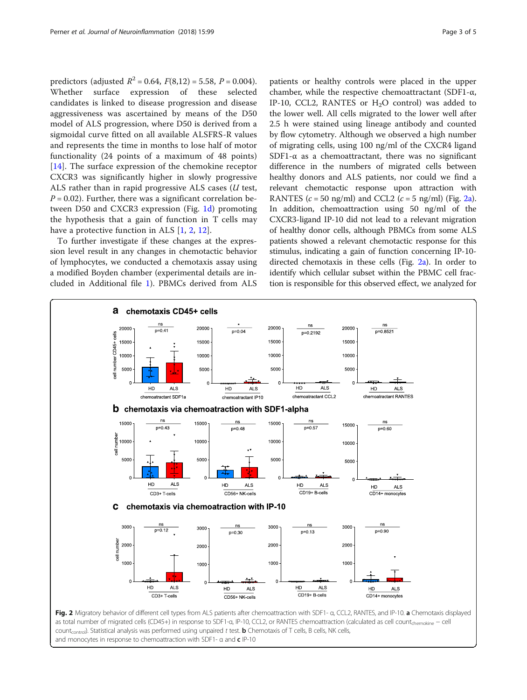<span id="page-2-0"></span>predictors (adjusted  $R^2 = 0.64$ ,  $F(8.12) = 5.58$ ,  $P = 0.004$ ). Whether surface expression of these selected candidates is linked to disease progression and disease aggressiveness was ascertained by means of the D50 model of ALS progression, where D50 is derived from a sigmoidal curve fitted on all available ALSFRS-R values and represents the time in months to lose half of motor functionality (24 points of a maximum of 48 points) [[14\]](#page-3-0). The surface expression of the chemokine receptor CXCR3 was significantly higher in slowly progressive ALS rather than in rapid progressive ALS cases  $(U \text{ test},$  $P = 0.02$ ). Further, there was a significant correlation between D50 and CXCR3 expression (Fig. [1d\)](#page-1-0) promoting the hypothesis that a gain of function in T cells may have a protective function in ALS [[1,](#page-3-0) [2,](#page-3-0) [12\]](#page-3-0).

To further investigate if these changes at the expression level result in any changes in chemotactic behavior of lymphocytes, we conducted a chemotaxis assay using a modified Boyden chamber (experimental details are included in Additional file [1\)](#page-3-0). PBMCs derived from ALS

patients or healthy controls were placed in the upper chamber, while the respective chemoattractant (SDF1-α, IP-10, CCL2, RANTES or  $H<sub>2</sub>O$  control) was added to the lower well. All cells migrated to the lower well after 2.5 h were stained using lineage antibody and counted by flow cytometry. Although we observed a high number of migrating cells, using 100 ng/ml of the CXCR4 ligand SDF1- $\alpha$  as a chemoattractant, there was no significant difference in the numbers of migrated cells between healthy donors and ALS patients, nor could we find a relevant chemotactic response upon attraction with RANTES ( $c = 50$  ng/ml) and CCL2 ( $c = 5$  ng/ml) (Fig. 2a). In addition, chemoattraction using 50 ng/ml of the CXCR3-ligand IP-10 did not lead to a relevant migration of healthy donor cells, although PBMCs from some ALS patients showed a relevant chemotactic response for this stimulus, indicating a gain of function concerning IP-10 directed chemotaxis in these cells (Fig. 2a). In order to identify which cellular subset within the PBMC cell fraction is responsible for this observed effect, we analyzed for

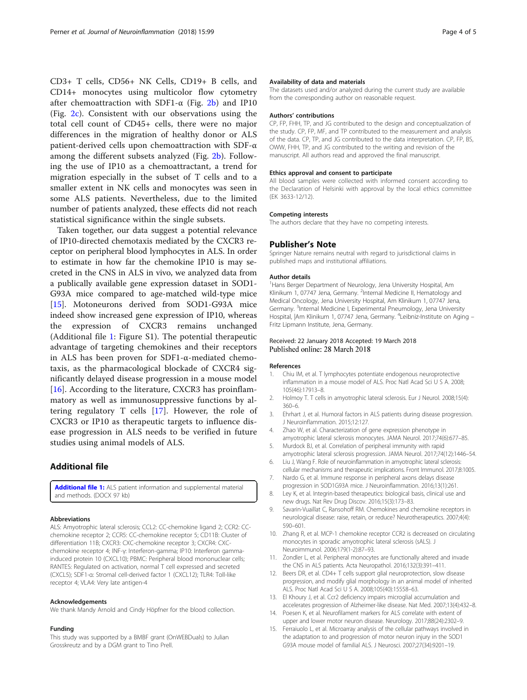<span id="page-3-0"></span>CD3+ T cells, CD56+ NK Cells, CD19+ B cells, and CD14+ monocytes using multicolor flow cytometry after chemoattraction with SDF1- $\alpha$  (Fig. [2b](#page-2-0)) and IP10 (Fig. [2c](#page-2-0)). Consistent with our observations using the total cell count of CD45+ cells, there were no major differences in the migration of healthy donor or ALS patient-derived cells upon chemoattraction with SDF-α among the different subsets analyzed (Fig. [2b\)](#page-2-0). Following the use of IP10 as a chemoattractant, a trend for migration especially in the subset of T cells and to a smaller extent in NK cells and monocytes was seen in some ALS patients. Nevertheless, due to the limited number of patients analyzed, these effects did not reach statistical significance within the single subsets.

Taken together, our data suggest a potential relevance of IP10-directed chemotaxis mediated by the CXCR3 receptor on peripheral blood lymphocytes in ALS. In order to estimate in how far the chemokine IP10 is may secreted in the CNS in ALS in vivo, we analyzed data from a publically available gene expression dataset in SOD1- G93A mice compared to age-matched wild-type mice [15]. Motoneurons derived from SOD1-G93A mice indeed show increased gene expression of IP10, whereas the expression of CXCR3 remains unchanged (Additional file 1: Figure S1). The potential therapeutic advantage of targeting chemokines and their receptors in ALS has been proven for SDF1-α-mediated chemotaxis, as the pharmacological blockade of CXCR4 significantly delayed disease progression in a mouse model [[16\]](#page-4-0). According to the literature, CXCR3 has proinflammatory as well as immunosuppressive functions by altering regulatory T cells [[17\]](#page-4-0). However, the role of CXCR3 or IP10 as therapeutic targets to influence disease progression in ALS needs to be verified in future studies using animal models of ALS.

### Additional file

[Additional file 1:](https://doi.org/10.1186/s12974-018-1135-3) ALS patient information and supplemental material and methods. (DOCX 97 kb)

#### Abbreviations

ALS: Amyotrophic lateral sclerosis; CCL2: CC-chemokine ligand 2; CCR2: CCchemokine receptor 2; CCR5: CC-chemokine receptor 5; CD11B: Cluster of differentiation 11B; CXCR3: CXC-chemokine receptor 3; CXCR4: CXCchemokine receptor 4; INF-γ: Interferon-gamma; IP10: Interferon gammainduced protein 10 (CXCL10); PBMC: Peripheral blood mononuclear cells; RANTES: Regulated on activation, normal T cell expressed and secreted (CXCL5); SDF1-α: Stromal cell-derived factor 1 (CXCL12); TLR4: Toll-like receptor 4; VLA4: Very late antigen-4

#### Acknowledgements

We thank Mandy Arnold and Cindy Höpfner for the blood collection.

#### Funding

This study was supported by a BMBF grant (OnWEBDuals) to Julian Grosskreutz and by a DGM grant to Tino Prell.

#### Availability of data and materials

The datasets used and/or analyzed during the current study are available from the corresponding author on reasonable request.

#### Authors' contributions

CP, FP, FHH, TP, and JG contributed to the design and conceptualization of the study. CP, FP, MF, and TP contributed to the measurement and analysis of the data. CP, TP, and JG contributed to the data interpretation. CP, FP, BS, OWW, FHH, TP, and JG contributed to the writing and revision of the manuscript. All authors read and approved the final manuscript.

#### Ethics approval and consent to participate

All blood samples were collected with informed consent according to the Declaration of Helsinki with approval by the local ethics committee (EK 3633-12/12).

#### Competing interests

The authors declare that they have no competing interests.

#### Publisher's Note

Springer Nature remains neutral with regard to jurisdictional claims in published maps and institutional affiliations.

#### Author details

<sup>1</sup> Hans Berger Department of Neurology, Jena University Hospital, Am Klinikum 1, 07747 Jena, Germany. <sup>2</sup>Internal Medicine II, Hematology and Medical Oncology, Jena University Hospital, Am Klinikum 1, 07747 Jena, Germany. <sup>3</sup>Internal Medicine I, Experimental Pneumology, Jena University Hospital, Am Klinikum 1, 07747 Jena, Germany. <sup>4</sup>Leibniz-Institute on Aging -Fritz Lipmann Institute, Jena, Germany.

#### Received: 22 January 2018 Accepted: 19 March 2018 Published online: 28 March 2018

#### References

- 1. Chiu IM, et al. T lymphocytes potentiate endogenous neuroprotective inflammation in a mouse model of ALS. Proc Natl Acad Sci U S A. 2008; 105(46):17913–8.
- 2. Holmoy T. T cells in amyotrophic lateral sclerosis. Eur J Neurol. 2008;15(4): 360–6.
- 3. Ehrhart J, et al. Humoral factors in ALS patients during disease progression. J Neuroinflammation. 2015;12:127.
- 4. Zhao W, et al. Characterization of gene expression phenotype in amyotrophic lateral sclerosis monocytes. JAMA Neurol. 2017;74(6):677–85.
- 5. Murdock BJ, et al. Correlation of peripheral immunity with rapid amyotrophic lateral sclerosis progression. JAMA Neurol. 2017;74(12):1446–54.
- 6. Liu J, Wang F. Role of neuroinflammation in amyotrophic lateral sclerosis: cellular mechanisms and therapeutic implications. Front Immunol. 2017;8:1005. 7. Nardo G, et al. Immune response in peripheral axons delays disease
- progression in SOD1G93A mice. J Neuroinflammation. 2016;13(1):261.
- 8. Ley K, et al. Integrin-based therapeutics: biological basis, clinical use and new drugs. Nat Rev Drug Discov. 2016;15(3):173–83.
- 9. Savarin-Vuaillat C, Ransohoff RM. Chemokines and chemokine receptors in neurological disease: raise, retain, or reduce? Neurotherapeutics. 2007;4(4): 590–601.
- 10. Zhang R, et al. MCP-1 chemokine receptor CCR2 is decreased on circulating monocytes in sporadic amyotrophic lateral sclerosis (sALS). J Neuroimmunol. 2006;179(1-2):87–93.
- 11. Zondler L, et al. Peripheral monocytes are functionally altered and invade the CNS in ALS patients. Acta Neuropathol. 2016;132(3):391–411.
- 12. Beers DR, et al. CD4+ T cells support glial neuroprotection, slow disease progression, and modify glial morphology in an animal model of inherited ALS. Proc Natl Acad Sci U S A. 2008;105(40):15558–63.
- 13. El Khoury J, et al. Ccr2 deficiency impairs microglial accumulation and accelerates progression of Alzheimer-like disease. Nat Med. 2007;13(4):432–8.
- 14. Poesen K, et al. Neurofilament markers for ALS correlate with extent of upper and lower motor neuron disease. Neurology. 2017;88(24):2302–9.
- 15. Ferraiuolo L, et al. Microarray analysis of the cellular pathways involved in the adaptation to and progression of motor neuron injury in the SOD1 G93A mouse model of familial ALS. J Neurosci. 2007;27(34):9201–19.